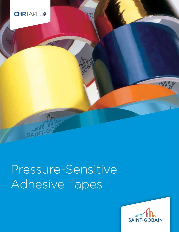

# Pressure-Sensitive Adhesive Tapes

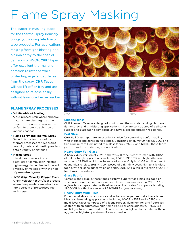# Flame Spray Masking

The leader in masking tapes for the thermal spray industry brings you a complete line of tape products. For applications ranging from grit-blasting and plasma spray to the special demands of HVOF, **CHR®** Tapes offer excellent thermal and abrasion resistance while protecting adjacent surfaces from the spray. **CHR** Tapes will not lift off or fray and are designed to release easily without leaving adhesive residue.

### **FLAME SPRAY PROCESSES**

### • **Grit/Bead/Shot Blasting**

A pre-process step where abrasive materials are discharged at the target to strip/clean/prepare the surface to promote adhesion of various coatings.

• **Flame Spray and Thermal Spray** Generic terms for the various thermal processes for depositing ceramic, metal and plastic powders onto a variety of materials.

### • **Plasma Spray**

Introduces powders into an electrical or combustion initiated high energy flame directed toward a variety of materials with the help of pressurized gas/air.

• **HVOF (High Velocity, Oxygen Fuel)** A high velocity (550m/sec) process where fine powders are introduced into a stream of pressurized fuel and oxygen.







*HVOF Plasma*

### **Silicone glass**

CHR Premium Tapes are designed to withstand the most demanding plasma and flame spray, and grit-blasting applications. They are constructed of a silicone rubber and glass fabric composite and have excellent abrasion resistance.

### **Foil Glass**

**CHR** Foil Glass tapes are an excellent choice for combining conformability with thermal and abrasion resistance. Consisting of aluminum foil (26020) or a thin aluminum foil laminated to a glass fabric (2925-7 and 6004), these tapes perform well in a wide range of applications.

### **Heavy-Duty Foil Glass**

A heavy-duty version of 2925-7, the 2925-11 tape is constructed with .005" of foil for tough applications, including HVOF. 2995-11R is a high adhesion version of 2925-11, which has been used successfully in HVOF applications. An economical choice, 2915-7 is composed of a tightly woven, high tensile glass fabric, with silicone adhesive on one side. 2915-10 is a thicker version of 2915-7 for abrasion resistance.

### **Glass Fabric**

Versatile and reliable, these tapes perform superbly as a masking tape or, when used together with our premium tapes, as an underwrap. 2905-7R is a glass fabric tape coated with adhesive on both sides for superior bonding. 2905-10R is a thicker version of 2905-7R for greater strength.

### **Heavy-Duty Multi-Plies**

Exceptional abrasion resistance and adhesion properties make these tapes ideal for demanding applications, including HVOF. H7525 and H6595 are multi-layer tapes composed of silicone rubber, aluminum foil and fiberglass coated with an aggressive high-temperature silicone adhesive. H7575 is a multi-layer tape composed of silicone rubber and glass cloth coated with an aggressive high-temperature silicone adhesive.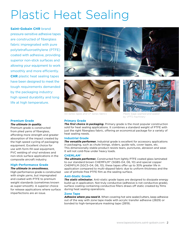### Plastic Heat Sealing

### **Saint-Gobain CHR** brand

pressure-sensitive adhesive tapes are constructed of fiberglass fabric impregnated with pure polytetrafluoroethylene (PTFE) coated with adhesive, providing superior non-stick surfaces and allowing your equipment to work smoothly and more efficiently. **CHR** plastic heat sealing tapes have been designed to meet the tough requirements demanded by the packaging industry: high speed durability and long life at high temperature.

### **Premium Grade**

### *The ultimate in quality.*

Premium grade is constructed from plied yarns of fiberglass, affording more strength and greater absorption of the impact created by the high speed cycling of packaging equipment. Excellent choice for use with form-fill-seal equipment, PVC welding of vinyl windows and non-stick surface applications in the composite aircraft industry.

### **High-Performance Grade**

### *The ultimate in smoothness.*

High-performance grade is constructed with single yarns, but impregnated and coated with PTFE to premium weight standards (sometimes known as super-smooth). A superior choice for release applications where surface imperfections are an issue.





*SG Series tapes and CF Series fabrics*



*Plastic bags seamed and sealed by VFFS machinery* 

### **Primary Grade**

*The first choice in packaging.* Primary grade is the most popular construction sold for heat sealing applications. It combines a standard weight of PTFE with just the right fiberglass fabric, offering an economical package for a variety of heat sealing needs.

### **Industrial Grade**

*The versatile performer.* Industrial grade is excellent for accessory applications in packaging, such as chute linings, sliders, guide rails, cover tapes, etc. This dimensionally stable product resists tears, punctures, abrasion and wear. It will not cold-flow under heavy loads.

### **CHEMLAM®**

*The ultimate performer.* Constructed from lightly PTFE coated glass laminated to our standard brown CHEMFILM® (SGB5-04, 06, 10) and special copper CHEMFILM (SGC5-04, 06, 10), these tapes offer up to 30% greater life in application compared to multi-dipped fabric due to uniform thickness and the use of pinhole-free PTFE film as the sealing surface.

### **Anti-Static Grade**

*The static eliminator.* Anti-static grade tapes are designed to dissipate energy build-up in application. Not truly conductive (adhesive is not conductive grade), surface coating containing conductive fillers draws off static created by films during heat sealing operations.

### **Zone Tape**

*Adhesive where you need it.* When covering hot wire sealer/cutters, keep adhesive out of the way with zone tape made with acrylic transfer adhesive (2829) or bonded to high-temperature masking tape (2819).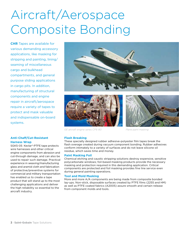# Aircraft/Aerospace Composite Bonding

**CHR** Tapes are available for various demanding accessory applications, like masking for stripping and painting, lining/ seaming of miscellaneous cargo and bulkhead compartments, and general purpose sliding applications in cargo pits. In addition, manufacturing of structural components and engine repair in aircraft/aerospace require a variety of tapes to protect and mask valuable and indispensable on-board systems.





*GE aircraft engine series CF6-80 Plane paint masking*

### **Flash Breaking**

These specially designed rubber adhesive-polyester film tapes break the flash overage created during vacuum component bonding. Rubber adhesives conform intimately to a variety of surfaces and do not leave silicone oil residue, which saves time and money.

### **Paint Masking Foil**

Chemical etching and caustic stripping solutions destroy expensive, sensitive polycarbonate windows; foil-based masking products provide the necessary masking and protection required in this demanding application. Critical components are protected and foil masking provides fine line service even during general painting operations.

### **Tool and Mold Masking**

More and more A/A components are being made from composite bonded lay-ups. Non-stick, disposable surfaces created by PTFE films (2255 and HM) as well as PTFE coated fabrics (A2005) assure smooth and certain release from component molds and tools.

### **Anti-Chaff/Cut-Resistant Harness Wrap**

SGK5-05 Kevlar®-PTFE tape protects wire harnesses and other critical engine components from abrasion and cut-through damage, and can also be used to repair such damage. Practical experience in weaving/manufacturing glass and aramid cloth and fabrication of protective/preventive systems for commercial and military transportation has enabled us to create a tape product that will stand up to the most challenging applications and deliver the high reliability so essential to the aircraft industry.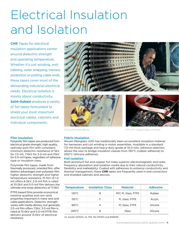### Electrical Insulation and Isolation

**CHR** Tapes for electrical insulation applications center around dielectric strength and operating temperature. Whether it's coil winding, end tabbing, outer wrapping, harness protection or potting cable ends, these tapes cover most of the demanding industrial electrical needs. Electrical isolation is mostly about conductivity. **Saint-Gobain** produces a variety of foil tapes formulated to shield your most important electrical cables, cabinets and individual components.

### **Film Insulation**

Polyester film tapes are produced from electrical grade strength, high quality, optically pure film with consistent, minimum dielectric resistance of 5kV for 1.0-mil, 7.0kV for 2.0-mil and 10kV for 5.0-mil tapes, regardless of adhesive type or insulation class.

Polyimide film tapes, made from thermally produced, oriented film, offer distinct advantages over polyester film: higher dielectric strength and higher temperature resistance. PI film of 1.0 mil offers 6.5kV, 2.0-mil film is rated at 10.0kV and 5.0-mil film delivers the ultimate one-wrap dielectrics of 17.0kV.

PTFE-based films provide economical resistive qualities and non-stick properties important in many wire and cable applications. Dielectric strength varies with media density, but generally 2.0-mil film offers 7.5kV, 3.0-mil film is rated at 10.0kV and 5.0-mil PTFE film delivers around 13.0kV of electrical resistance.







*Coil outer wrap taping EMI-RFI copper tape shielding*

### **Fabric Insulation**

Woven fiberglass cloth has traditionally been an excellent insulation material for harnesses and coil winding in motor assemblies. Available in a standard 7.0-mil-thick package and heavy-duty grade at 10.0 mils, adhesive selection allows the user to bridge insulation classes from 130°C (rubber adhesive) to 200°C (silicone adhesive).

### **Foil Isolation**

Both aluminum foil and copper foil make superior electromagnetic and radio frequency absorption and isolation media due to their natural conductivity, flexibility and malleability. Coated with adhesives to enhance conductivity and thermal management, these **CHR** tapes are frequently used in end connectors and shielded cabinets and devices.

| <b>Temperature</b> | <b>Insulation Class</b> | <b>Material</b>      | <b>Adhesive</b> |
|--------------------|-------------------------|----------------------|-----------------|
| $130^{\circ}$ C    | В                       | PET, PI, Glass, PTFE | Rubber          |
| $155^{\circ}$ C    | F                       | PI, Glass, PTFE      | Acrylic         |
| $180^{\circ}$ C    | Н                       | PI, Glass, PTFE      | Silicone        |
| $200^{\circ}$ C    | N                       | Glass                | Silicone        |

UL Guide OANZ2, UL 510, file E51201 and E66639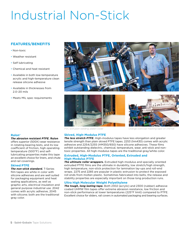### Industrial Non-Stick

### **FEATURES/BENEFITS**

- Non-toxic
- Weather resistant
- Self lubricating
- Chemical and heat resistant
- Available in both low-temperature acrylic and high-temperature clean release silicone adhesive
- Available in thicknesses from 2.0–20 mils
- Meets MIL spec requirements







#### *PVC extrusion welding, platen cover Orange overcoat masking tape on chill roll*

### **Rulon®**

### *The abrasion resistant PTFE.* **Rulon**

offers superior (500X) wear resistance in rotating bearing tests, and its low coefficient of friction, high operating temperature (500°F) and selflubricating properties make this tape an excellent choice for liners, and chute and rail coverings.

### **Skived PTFE**

*The non-stick standard.* T-Series film tapes are white in color with silicone adhesives and are well suited for packaging equipment and heat sealing applications, as well as graphic arts, electrical insulation and general purpose industrial use. 2042 comes with acrylic adhesive, 2045 with silicone; both are the traditional gray color.

**Skived, High-Modulus PTFE** *The less stretch PTFE.* High-modulus tapes have less elongation and greater tensile strength than plain skived PTFE tapes. 2253 (hm430) comes with acrylic adhesive and 2254/2255 (HM350/650) have silicone adhesives. These films exhibit outstanding dielectric, chemical, temperature, wear, anti-stick and nontoxic properties. All high-modulus tapes are the traditional gray/white color.

### **Extruded, High-Modulus PTFE, Oriented, Extruded and High-Modulus PTFE**

*The ultimate roller wrappers.* Extruded high-modulus and specially oriented extruded PTFE films are the ultimate in durability, low stretch/high strength, high temperature, non-stick protection for lamination lay-ups and roll-end wraps. 2275 and 2285 are popular in plastic extrusion to protect the exposed roll ends from molten plastic. Sometimes fabricated into belts, the release and stability properties are especially important on those long production runs.

### **Ultra High Molecular Weight Polyethylene**

*The tough, long lasting tape.* Both 2302 (acrylic) and 2300 (rubber) adhesive coated UHMW film tapes offer extreme abrasion resistance, low friction and non-stick performance at lower temperatures (225°F limit) compared to PTFE. Excellent choice for sliders, rail covers in automated packaging and bearing surfaces.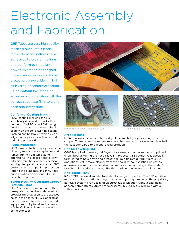### Electronic Assembly and Fabrication

**CHR** Tapes are very high quality masking products. Special formulations for softness allow adhesives to create fine lines and conform to trace laydowns. Whether it's for gold finger plating, splash and fume protection, wave soldering, hot air leveling or conformal coating, **Saint-Gobain** has made an adhesive, in combination with the correct substrate film, to work each and every time.

### **Conformal Coating Mask**

M797 coating masking tape is specifically designed to mask off areas on the stuffed PC board. With a tight unwind created by no release back coating on the polyester film, coating flashing can be broken with a clean edge that requires no further re-work, reducing process time.

### **Fume Protection**

M851 fume protection tape protects the circuitry from chemical splashes and fumes during gold tab plating operations. This cost-effective, lowadhesion tape has excellent chemical and high temperature resistance. M851 performs as a companion protection tape to the plate masking M717 tape during plating operations. M851 is available in green.

### **Solder Masking Over Bare Copper (SMOBC) Tape**

M803 is used in combination with a pre-applied protective solder mask and provides full protection to the exposed holes in the board. M803 is applied at the plating line by either automated equipment or by hand and serves as a fail-safe line of demarcation at the connector tabs.







*Finger masking with polyimide tape Wave soldered PC board*

### **Area Masking**

M734 is a low-cost substitute for dry film in multi-layer processing to protect copper. These tapes use natural rubber adhesives, which save as much as half the cost compared to silicone-based products.

### **Hot Air Leveling (HAL)**

C663 is applied to mask gold fingers, tab areas and other sections of printed circuit boards during the hot air leveling process. C663 adhesive is specially formulated to hold down and protect the gold fingers during rigorous HAL operations, yet remove cleanly from the board without splitting or leaving adhesive residue. Its thin construction reduces the damming at the solder/ tape butt line and is a proven, effective mask in double wrap applications.

### **Anti-Static (HAL)**

K-290ESD has excellent electrostatic discharge properties. The ESD additive reduces the electrostatic discharge that occurs upon tape removal. The proprietary adhesive system provides high electrostatic dissipation without sacrificing adhesive strength at extreme temperatures. K-290ESD is available with or without a liner.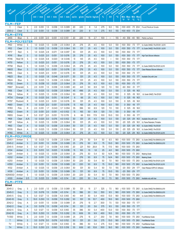|                       |                  |        | Adhesive System  |                     |             |                |                         | Total Thickness |            |          |              |            |                          |              |                          | ORES                                 |                  | Temperature          |                                    |
|-----------------------|------------------|--------|------------------|---------------------|-------------|----------------|-------------------------|-----------------|------------|----------|--------------|------------|--------------------------|--------------|--------------------------|--------------------------------------|------------------|----------------------|------------------------------------|
| Part                  |                  |        |                  | Backing             | Thickness   | Adhesive       | Thickness               |                 | Adhesion   | Strength | Tensile      | Strength   | Elongation               | Dielectric   | Insulation               |                                      |                  |                      | Comments                           |
|                       | Gold             |        |                  |                     |             |                |                         |                 |            |          |              |            |                          |              |                          |                                      |                  | Range                |                                    |
|                       |                  |        |                  | $mil$ / mm          |             | $mil$ / mm     | $mil$ / $mm$            | oz/in           | g/cm       |          | Ibs/in kg/cm | %          | kV                       | $^{\circ}$ C |                          |                                      |                  | Min Max Min Max      |                                    |
|                       |                  |        |                  |                     |             |                |                         |                 |            |          |              |            |                          |              | ۰F                       | ۰F                                   | $^{\circ}$ C     | $^{\circ}$ C         |                                    |
| <b>FILM-FEP</b>       |                  |        |                  |                     |             |                |                         |                 |            |          |              |            |                          |              |                          |                                      |                  |                      |                                    |
| C                     | Clear            | S      | 2.0              | 0.051               | 1.5         | 0.038          | 3.5 0.089               | 20              | 220        | 8        | 1.4          | 275        | 9.0                      | 155          | $-100$                   | 400                                  |                  | -73 204              | Food/Medical Grade                 |
| 2355-2                | Clear            | S      |                  | 2.0 0.051           | 1.5         | 0.038          | 3.5 0.089               | 20              | 220        | 8        | 1.4          | 275        | 9.0                      | 155          |                          | -100 400 -73 204                     |                  |                      |                                    |
| <b>FILM-ETFE</b>      |                  |        |                  |                     |             |                |                         |                 |            |          |              |            |                          |              |                          |                                      |                  |                      |                                    |
| 2455                  | Blue             | S      |                  | 2.0 0.051           | 2.0         | 0.051          | 4.0 0.101               | 20              | 220        | 15       | 2.7          | 100        | $\overline{\phantom{m}}$ | 155          | -40                      | 356                                  | -40              | 180                  | Matte surface                      |
| <b>FILM-POLYESTER</b> |                  |        |                  |                     |             |                |                         |                 |            |          |              |            |                          |              |                          |                                      |                  |                      |                                    |
| M50                   | White            | S      |                  | 1.0 0.025           | 1.5         | 0.038          | 2.5 0.064               | 25              | 276        | 25       | 4.5          | 100        | 5.0                      | 130          | $-100$ 350               |                                      | -73              | 177                  | UL Guide OANZ2. File E51201. UL510 |
| M52                   | Clear            | S      |                  | 1.0 0.025           | 1.5         | 0.038          | 2.5 0.064               | 30              | 331        | 25       | 4.5          | 100        | 5.0                      | 130          | -100 350                 |                                      | -73              | - 177                | UL Guide OANZ2, File E51201, UL510 |
| M717                  | Red              | S      | 1.0              | 0.025               | 2.8         | 0.071          | 3.8 0.097               | 30              | 331        | 25       | 4.5          | 100        | 5.0                      | 130          | $-100$ 350               |                                      |                  | -73 177              |                                    |
| M741                  | Blue             | S      | 1.0              | $0.025$ 2.0         |             | 0.051          | 3.0 0.076               | 25              | 276        | 25       | 4.5          | 100        | 5.0                      | 130          | -100 350                 |                                      | -73              | - 177                | High Tack Silicone Adhesive        |
| M746                  | Red/BI           | S      | 1.0              | 0.025               | 10.8        | 0.020          | 1.8 0.046               | 13              | 143        | 25       | 4.5          | 100        | $\qquad \qquad -$        | 130          | -100 350                 |                                      |                  | -73 177              |                                    |
| M751                  | Yellow           | S      | 1.0              | 0.025               | 2.0         | 0.051          | 3.0 0.076               | 25              | 276        | 25       | 4.5          | 100        | 5.0                      | 130          |                          | $-100$ 350                           | -73 177          |                      |                                    |
| M758                  | <b>Black</b>     | S      | 1.0              | 0.025               | 1.5         | 0.038          | 2.5 0.064               | 25              | 276        | 25       | 4.5          | 100        | 5.0                      | 130          | $-100, 350$              |                                      | -73              | 177                  | UL Guide OANZ2, File E51201, UL510 |
| M803                  | Blue             | S      | 1.0              | 0.025               | 2.0         | 0.051          | 3.0 0.076               | 25              | 276        | 25       | 4.5          | 100        | 5.0                      | 130          | $-100$ 350               |                                      | $-73$            | - 177                | Clean Release Silicone Adhesive    |
| M815                  | Clear            | S      | 1.0              | 0.025               | 2.0         | 0.051          | 3.0 0.076               | 30              | 331        | 25       | 4.5          | 100        | 5.0                      | 130          | $-100$ 350               |                                      |                  | $-73$ 177            |                                    |
| M823<br>M824          | <b>Blue</b>      | S      | 1.0              | 0.025<br>0.025      | 1.8         | 0.046<br>0.038 | 2.8 0.071<br>2.5 0.064  | 30<br>30        | 331<br>331 | 25       | 4.5          | 100        | 5.0<br>5.0               | 130          | $-100$ 350               |                                      | -73 177          |                      | Available Only with Liner          |
| M730                  | Blue             | S<br>S | 1.0              | 0.038               | 1.5<br>1.0  | 0.025          | 2.5 0.064               | 25              | 276        | 25<br>35 | 4.5<br>6.3   | 100        | 6.0                      | 130          | $-100$ 350<br>$-100$ 350 |                                      | -73<br>$-73$ 177 | 177                  |                                    |
| M887                  | Green<br>Emerald | S      | 1.5<br>2.0       | 0.051               | 1.5         | 0.038          | 3.5 0.089               | 40              | 441        | 50       | 8.9          | 100<br>120 | 7.0                      | 130<br>130   |                          | $-60$ 350                            | $-51$            | 177                  |                                    |
| M56                   | Clear            | R      | 1.0              | 0.025               | 1.5         | 0.038          | 2.5 0.064               | 45              | 496        | 25       | 4.5          | 100        | 5.0                      | 130          |                          | 0.325                                | $-18$            | - 163                |                                    |
| M54                   | Yellow           | R      | 1.0              | 0.025               | 1.5         | 0.038          | 2.5 0.064               | 50              | 551        | 25       | 4.5          | 100        | 5.0                      | 130          |                          | 0.325                                | -18              | 163                  | UL Guide OANZ2, File E51201        |
| M734                  | Orange           | R      | 1.0              | 0.025               | 0.6         | 0.015          | 1.6 0.041               | $6\phantom{1}6$ | 66         | 25       | 4.5          | 100        | 5.0                      | 100          |                          | 0.325                                | $-18$            | 163                  |                                    |
| M797                  | Mustard          | R      | 1.0              | 0.025               | 2.0         | 0.051          | 3.0 0.076               | 30              | 331        | 25       | 4.5          | 100        | 5.0                      | 130          |                          | 0.325                                | -18              | 163                  |                                    |
| M851                  | Green            | R      | 1.0              | 0.025               | 2.0         | 0.051          | 3.0 0.076               | 15              | 165        | 25       | 4.5          | 100        | 6.0                      | 130          |                          | 0.350                                | $-18$            | 177                  |                                    |
| M783                  | Pink             | R      | 2.0              | 0.051               | 1.7         | 0.043          | 3.7 0.094               | 35              | 386        | 50       | 8.9          | 120        | 7.0                      | 130          |                          | 0.325                                | -18              | 163                  |                                    |
| M852                  | Green            | R      | 2.0              | 0.051               | 2.0         | 0.051          | 4.0 0.102               | 15              | 165        | 50       | 8.9          | 120        | 7.0                      | 130          |                          | 0.350                                | $-18$            | 177                  |                                    |
| M855                  | Green            | R      | 5.0              | 0.127               | 2.0         | 0.051          | 7.0 0.178               | 6               | 66         | 100      | 17.9         | 100        | 10.0                     | 130          |                          | 0 350                                | $-18$            | 177                  |                                    |
| M69                   | Clear            | A/A    | 1.0              | 0.025               | 3.0         | 0.076          | 4.0 0.102               | 30              | 331        | 25       | 4.5          | 100        | 5.0                      | 130          |                          | $-20$ 325                            | $-29$            | 163                  | Available Only with Liner          |
| M97                   | Yellow           | А      | 1.0              | 0.025               | 1.5         | 0.038          | 2.5 0.064               | 30              | 331        | 25       | 4.5          | 100        | 5.0                      | 130          | -20                      | 325                                  | -29              | 163                  | UL Flame Retardant, Printable      |
| M60                   | Clear            | А      | 1.0              | 0.025               | 1.5         | 0.038          | 2.5 0.064               | 30              | 331        | 25       | 4.5          | 100        | 5.0                      | 130          | $-20$                    | 325                                  | $-29$            | 163                  | UL Guide OANZ2, File E51201        |
| M705                  | <b>Black</b>     | Α      | 1.0              | 0.025               | 1.5         | 0.038          | 2.5 0.064               | 30              | 331        | 25       | 4.5          | 100        | 5.0                      | 130          | -20                      | 325                                  | $-29$            | 163                  | UL Guide OANZ2, File E51201        |
| M765                  | White            | A      | 1.0 <sub>1</sub> | 0.025               | 1.5         | 0.038          | 2.5 0.064               | 25              | 276        | 25       | 4.5          | 100        | 5.0                      | 130          | -20                      | 325                                  | $-29$            | 163                  | UL Guide OANZ2, File E51201, UL510 |
| <b>FILM-POLYIMIDE</b> |                  |        |                  |                     |             |                |                         |                 |            |          |              |            |                          |              |                          |                                      |                  |                      |                                    |
| 2345-1                | Amber            | S      |                  | 1.0 0.025           | 1.5         | 0.038          | 2.5 0.064               | 25              | 276        | 30       | 5.4          | 50         | 6.5                      | 180          |                          | -100 500 -73 260                     |                  |                      | UL Guide OANZ2, File E66639, UL510 |
| 2345-2                | Amber            | S      |                  | 2.0 0.051           | 1.5         | 0.038          | 3.5 0.089               | 25              | 276        | 50       | 8.9          | 75         | 10.0                     | 180          |                          | -100 500 -73 260                     |                  |                      | UL Guide OANZ2, File E66639, UL510 |
| 2345-5                | Amber            | S      |                  | 5.0 0.127           | 1.5         | 0.038          | 6.5 0.165               | 20              | 221        | 150      | 26.8         | 75         | 17.0                     | 180          |                          | -100 500 -73 260                     |                  |                      |                                    |
| K104                  | Amber            | S      |                  | 0.5 0.013           | 1.0         | 0.025          | 1.5 0.038               | 15              | 165        | 10       | 1.8          | 25         | 4.0                      | 180          | $-100$ 500 $-73$ 260     |                                      |                  |                      |                                    |
| K201                  | Amber            | S      | 1.0              | 0.025               | 1.5         | 0.038          | 2.5 0.064               | 25              | 276        | 30       | 5.4          | 50         | N/A                      | 180          |                          | -100 500 -73 260                     |                  |                      | <b>Masking Grade</b>               |
| K202                  | Amber            | S      |                  | 2.0 0.051           | 1.5         | 0.038          | 3.5 0.089               | 25              | 276        | 50       | 8.9          | 75         | N/A                      | 180          | -100 500 -73 260         |                                      |                  |                      | <b>Masking Grade</b>               |
| K250                  | Amber            | S      | 1.0              | 0.025               | 1.5         | 0.038          | 2.5 0.064               | 30              | 220        | 30       | 5.4          | 50         | 7.0                      | 180          |                          | -100 500 -73 260                     |                  |                      | UL Guide OANZ2, File E51201, UL510 |
| K350                  | Amber            | S      |                  | 2.0 0.051           | 1.5         | 0.038          | 3.5 0.089               | 20              | 220        | 50       | 8.9          | 75         | 10.0                     | 180          |                          | -100 500 -73 260                     |                  |                      | UL Guide OANZ2, File E51201, UL510 |
| K102                  | Amber            | А      | 1.0              | 0.025               | 1.5         | 0.038          | 2.5 0.064               | 30              | 331        | 30       | 5.4          | 50         | 7.0                      | 155          |                          | -20 350 -29 177                      |                  |                      | Clean Release ACRYLIC Adhesive     |
| K109                  | Amber            | A      |                  | 2.0 0.051           | 1.5         | 0.038          | 3.5 0.089               | 30              | 331        | 50       | 8.9          | 75         | 10.0                     | 155          |                          | -20 350 -29 177                      |                  |                      |                                    |
| K290ESD               | Amber            | S      | 1.0              | 0.025               | 1.5         | 0.038          | 2.5 0.064               | 20              | 220        | 30       | 5.4          | 50         | 7.0                      | 180          |                          | -100 500 -73 260                     |                  |                      |                                    |
| K100                  | Amber            | S/S    | 1.0 <sub>1</sub> | $0.025$ 3.5         |             | 0.089          | 4.5 0.114               | 20              | 220        | 30       | 5.4          | 50         | 7.5                      | 180          |                          | -100 500 -73 260                     |                  |                      | Available only with liner          |
| <b>FILM-PTFE</b>      |                  |        |                  |                     |             |                |                         |                 |            |          |              |            |                          |              |                          |                                      |                  |                      |                                    |
| <b>Skived</b>         |                  |        |                  |                     |             |                |                         |                 |            |          |              |            |                          |              |                          |                                      |                  |                      |                                    |
| 2045-2                | Gray             | S      |                  | 2.0 0.051           | $\vert$ 1.5 | 0.038          | 3.5 0.089               | 30              | 331        | 15       | 2.7          | 325        | 7.5                      | 180          | -100 500 -73 260         |                                      |                  |                      | UL Guide OANZ2, File E66639, UL510 |
| 2045-3                | Gray             | S      |                  | 3.0 0.076           | 1.5         | 0.038          | 4.5 0.114               | 35              | 386        | 20       | 3.6          | 350        | 9.5                      | 180          |                          | -100 500 -73 260                     |                  |                      | UL Guide OANZ2, File E66639, UL510 |
| 2045-5                | Gray             | S      | 5.0              | 0.127               | 1.5         | 0.038          | 6.5 0.165               | 40              | 441        | 30       | 5.4          | 400        | 13.0                     | 180          |                          | -100 500 -73 260                     |                  |                      | UL Guide OANZ2, File E66639, UL510 |
| 2045-10<br>2042-2     | Gray             | S      | 2.0              | 10.0 0.250<br>0.051 | 1.5<br>1.5  | 0.038<br>0.038 | 11.5 0.292<br>3.5 0.089 | 50<br>25        | 551<br>276 | 55<br>15 | 10.7<br>2.7  | 450<br>300 | 19.5<br>7.5              | 180<br>130   |                          | -100 500 -73 260<br>-100 350 -73 177 |                  |                      |                                    |
| 2042-3                | Gray             | А<br>Α |                  | 3.0 0.076           | 1.5         | 0.038          | 4.5 0.114               | 30              | 331        | 20       | 3.6          | 375        | 9.5                      | 130          |                          | -100 350 -73 177                     |                  |                      |                                    |
| 2042-5                | Gray<br>Gray     | Α      | 5.0              | 0.127               | 1.5         | 0.038          | 6.5 0.165               | 35              | 386        | 30       | 5.4          | 400        | 13.0                     | 130          |                          | -100 350 -73 177                     |                  |                      |                                    |
| 2042-10               | Gray             | Α      | 10.0             | 0.250               | 1.5         | 0.038          | 11.5 0.292              | 55              | 606        | 55       | 9.9          | 450        | 19.5                     | 130          |                          | -100 350 -73 177                     |                  |                      |                                    |
| <b>TV350</b>          | White            | S      | 2.0              | 0.051               | 1.5         | 0.038          | 3.5 0.089               | 25              | 276        | 15       | 2.7          | 250        | 7.8                      | 180          |                          | -100 500 -73 260                     |                  |                      | Food/Medical Grade                 |
| $\top$                | White            | S      | 3.0              | 0.076               | 3.0         | 0.076          | 6.0 0.152               | 30              | 331        | 20       | 3.6          | 275        | 10.0                     | 180          |                          | -100 500 -73 260                     |                  |                      | Food/Medical Grade                 |
| TV                    | White            | S      | 5.0              | 0.127               | 1.5         | 0.038          | 6.5 0.165               | 35              | 386        | 30       | 5.4          | 275        | 13.0                     | 180          |                          | -100 500 -73 260                     |                  |                      | Food/Medical Grade                 |
| TH                    | White            | S      |                  | 10.0 0.250 2.5      |             | 0.063          | $12.5$ 0.318            | 55              | 606        | 60       | 10.8         | 300        | 18.0                     | 180          |                          |                                      |                  | $-100$ 500 $-73$ 260 | Food/Medical Grade                 |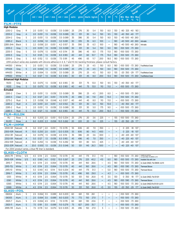| Part Number                                           |                     |        |                 | Backing           | Thickness  | Adhesive              | Thickness                                                                                                                                | Total Thickness | Adhesion | Strength | Tensile             | Strength                        | Elongation        | Dielectric               |    |                  | Temperature                                     | Comments                                                         |
|-------------------------------------------------------|---------------------|--------|-----------------|-------------------|------------|-----------------------|------------------------------------------------------------------------------------------------------------------------------------------|-----------------|----------|----------|---------------------|---------------------------------|-------------------|--------------------------|----|------------------|-------------------------------------------------|------------------------------------------------------------------|
|                                                       | Golo                |        | Adhesive Sistem |                   |            |                       |                                                                                                                                          |                 |          |          |                     |                                 |                   |                          |    | Insulation Class | Range                                           |                                                                  |
|                                                       |                     |        |                 | mil / mm          |            | $min$ mil $\sqrt{mn}$ | mil / mm                                                                                                                                 | oz/in           |          |          | g/cm   Ibs/in kg/cm | $\%$                            | k۷                | $^{\circ}$ C             | °F | °F               | Min Max Min Max<br>$^{\circ}$ C<br>$^{\circ}$ C |                                                                  |
| <b>FILM-PTFE</b>                                      |                     |        |                 |                   |            |                       |                                                                                                                                          |                 |          |          |                     |                                 |                   |                          |    |                  |                                                 |                                                                  |
| <b>High Modulus</b>                                   |                     |        |                 |                   |            |                       |                                                                                                                                          |                 |          |          |                     |                                 |                   |                          |    |                  |                                                 |                                                                  |
| 2250-2                                                | Gray                | R      | 2.0             | 0.051             | 1.5        | 0.038                 | 3.5 0.089                                                                                                                                | 25              | 276      | 30       | 5.4                 | 150                             | 8.0               | 130                      |    | $-80$ 325 $-40$  | 163                                             |                                                                  |
| 2253-2                                                | Gray                | Α      | 2.0             | 0.051             | 1.5        | 0.038                 | 3.5 0.089                                                                                                                                | 30              | 331      | 30       | 5.4                 | 150                             | 9.5               | 130                      |    |                  | -40 350 -40 177                                 |                                                                  |
| 2254-2                                                | Gray                | S      | 2.0             | 0.051             | 1.5        | 0.038                 | 3.5 0.089                                                                                                                                | 35              | 386      | 30       | 5.4                 | 150                             | 9.0               | 150                      |    |                  | -40 500 -40 260                                 |                                                                  |
| 22B5-2                                                | <b>Black</b>        | S      | $2.2\,$         | 0.056             | 1.0        | 0.025                 | 3.2 0.081                                                                                                                                | 30              | 335      | 35       | 6.3                 | 100                             | $\qquad \qquad -$ | 180                      |    |                  | -40 500 -40 260                                 | Anti-static                                                      |
| 22B5-2HA                                              | <b>Black</b>        | S      | $2.2\,$         | 0.056             | 2.0        | 0.051                 | 4.2 0.107                                                                                                                                | 35              | 390      | 35       | 6.3                 | 100                             | $\qquad \qquad -$ | 180                      |    |                  | -40 500 -40 260                                 | Anti-static                                                      |
| 2255-2                                                | Gray                | S      | 2.0             | 0.051             | 1.5        | 0.038                 | 3.5 0.089                                                                                                                                | 30              | 331      | 30       | 5.4                 | 150                             | 9.0               | 180                      |    |                  | -100 500 -73 260                                |                                                                  |
| 2255-3                                                | Gray                | S      | 3.0             | 0.076             | 1.5        | 0.038                 | 4.5 0.114                                                                                                                                | 35              | 386      | 45       | 8.0                 | 175                             | 11.0              | 180                      |    |                  | -100 500 -73 260                                |                                                                  |
| 2255-5                                                | Gray                | S      | 5.0             | 0.125             | 1.5        | 0.038                 | 6.5 0.165                                                                                                                                | 40              | 441      | 60       | 10.7                | 175                             | 15.0              | 180                      |    |                  | -100 500 -73 260                                |                                                                  |
| 2255-6                                                | Gray                | S      | 6.0             | 0.152             | 1.5        | 0.038                 | 7.5 0.191                                                                                                                                | 45              | 496      | 65       | 11.7                | 200                             | 18.0              | 180                      |    |                  | -100 500 -73 260                                |                                                                  |
| <b>HM350</b>                                          |                     |        |                 | 0.051             | 1.5        | 0.038                 | 2255 product series also available with silicone adhesive in 4, 6, 7 and 10 mil. backing thickness; please consult factory.<br>3.5 0.089 |                 | 276      |          |                     | 150                             |                   |                          |    |                  | -100 500 -73 260                                |                                                                  |
| <b>HM426</b>                                          | White<br>Gray       | S<br>S | 2.0<br>2.0      | 0.064             | 1.5        | 0.038                 | 3.5 0.089                                                                                                                                | 25<br>25        | 276      | 25<br>25 | 4.5<br>4.5          | 150                             | 8.0<br>8.0        | 180<br>180               |    |                  | -100 500 -73 260                                | Food/Medical Grade                                               |
| HM430                                                 | White               | Α      | 2.0             | 0.064             | 1.5        | 0.038                 | 3.5 0.089                                                                                                                                | 25              | 276      | 25       | 4.5                 | 150                             | 8.0               | 155                      |    |                  | -20 350 -29 177                                 | Food/Medical Grade                                               |
| <b>HM650</b>                                          | White               | S      | 5.0             | 0.127             | 1.5        | 0.038                 | 6.5 0.165                                                                                                                                | 30              | 331      | 45       | 8.0                 | 200                             | 13.5              | 180                      |    |                  | -100 500 -73 260                                | Food/Medical Grade                                               |
| Enhanced                                              | <b>High Modulus</b> |        |                 |                   |            |                       |                                                                                                                                          |                 |          |          |                     |                                 |                   |                          |    |                  |                                                 |                                                                  |
| R233                                                  | Gray                | Α      |                 | $3.0$ 0.075       | 1.5        | 0.038                 | 6.5 0.165                                                                                                                                | 30              | 331      | 75       | 13.0                | 150                             | 9.5               | 130                      |    |                  | -40 350 -40 177                                 |                                                                  |
| R253                                                  | Gray                | S      |                 | 3.0 0.075         | 1.5        | 0.038                 | 6.5 0.165                                                                                                                                | 40              | 441      | 75       | 13.0                | 110                             | 11.0              | -                        |    |                  | -100 500 -73 260                                |                                                                  |
| <b>Extruded</b>                                       |                     |        |                 |                   |            |                       |                                                                                                                                          |                 |          |          |                     |                                 |                   |                          |    |                  |                                                 |                                                                  |
| 2265-2                                                | Clear               | S      |                 | 2.0 0.051         | 1.5        | 0.038                 | 3.5 0.089                                                                                                                                | 35              | 386      | 25       | 4.5                 | 200                             | 8.0               | $\qquad \qquad -$        |    |                  | -100 500 -73 260                                |                                                                  |
| 2265-5                                                | Clear               | S      | 5.0             | 0.127             | 2.0        | 0.051                 | 7.0 0.178                                                                                                                                | 45              | 496      | 65       | 11.8                | 250                             | 15.0              |                          |    |                  | -100 500 -73 260                                |                                                                  |
| 2275-2                                                | Rust                | S      | 2.3             | 0.058             | 1.9        | 0.048                 | 4.2 0.107                                                                                                                                | 40              | 441      | 45       | 8.0                 | 110                             | 11.0              | —                        |    |                  | -100 500 -73 260                                |                                                                  |
| 2283-2                                                | Rust                | А      | 2.0             | 0.051             | 2.0        | 0.051                 | 4.0 0.102                                                                                                                                | 30              | 331      | 30       | 5.0                 | 150                             | 10.0              | -                        |    |                  | -40 350 -40 177                                 |                                                                  |
| 2285-2                                                | Rust                | S      | 2.0             | 0.051             | 1.5        | 0.038                 | 3.5 0.089                                                                                                                                | 30              | 331      | 30       | 5.0                 | 175                             | 9.0               | $\qquad \qquad -$        |    |                  | -100 500 -73 260                                |                                                                  |
| 2285-5                                                | Rust                | S      |                 | 5.0 0.127         | 1.5        | 0.038                 | 6.5 0.165                                                                                                                                | 40              | 441      | 75       | 13.0                | 200                             | 16.0              | -                        |    |                  | -100 500 -73 260                                |                                                                  |
| <b>FILM-RULON</b>                                     |                     |        |                 |                   |            |                       |                                                                                                                                          |                 |          |          |                     |                                 |                   |                          |    |                  |                                                 |                                                                  |
| <b>RU</b>                                             | Rose                | S      |                 | 8.0 0.203 2.0     |            | 0.051                 | 10.0 0.254                                                                                                                               | 25              | 276      | 20       | 3.6                 | 225                             | $\qquad \qquad -$ | 155                      |    |                  | -100 500 -73 260                                |                                                                  |
| <b>RU101</b>                                          | Rose                | Α      |                 | $8.0$ $0.203$ 2.3 |            | 0.058                 | 10.3 0.262                                                                                                                               | 20              | 220      | 20       | 3.6                 | 225                             | $\qquad \qquad -$ | 155                      |    |                  | -20 350 -29 177                                 |                                                                  |
| <b>FILM-UHMW</b><br>2300-5R                           | Natural             | R      | 5.0             | 0.127             | 2.0        | 0.051                 | 7.0 0.178                                                                                                                                | 55              | 606      | 40       | 7.0                 | 350                             | $\qquad \qquad -$ | $\overline{\phantom{0}}$ |    | 0.225            | $-18$ 107                                       |                                                                  |
| 2300-10R                                              | Natural             | R      | 10.0            | 0.250             | 2.0        | 0.051                 | 12.0 0.305                                                                                                                               | 55              | 606      | 80       | 14.5                | 400                             | -                 |                          |    | 0 225            | -18<br>107                                      |                                                                  |
| 2302-3R                                               | Natural             | А      |                 | 3.0 0.076         | 1.5        | 0.038                 | 4.5 0.114                                                                                                                                | 35              | 386      | 20       | 3.6                 | 300                             |                   |                          |    |                  | -40 225 -40 107                                 |                                                                  |
| 2302-5R                                               | Natural             | Α      |                 | 5.0 0.127         | 1.5        | 0.038                 | 6.5 0.165                                                                                                                                | 45              | 496      | 40       | 7.0                 | 350                             | -                 |                          |    |                  | -40 225 -40 107                                 |                                                                  |
| 2302-10R                                              | Natural             | Α      |                 | 10.0 0.250        | 1.5        | 0.038                 | 11.5 0.292                                                                                                                               | 50              | 551      | 80       | 14.5                | 425                             | $\qquad \qquad -$ | $\overline{\phantom{0}}$ |    |                  | -40 225 -40 107                                 |                                                                  |
| 2302-20R Natural                                      |                     | Α      |                 | 20.0 0.500 1.5    |            | 0.038                 | 21.5 0.546                                                                                                                               | 50              | 551      | 145      | 26.3                | 500                             | -                 |                          |    |                  | -40 225 -40 107                                 |                                                                  |
| For 23XX product series, a blue PE liner is standard. |                     |        |                 |                   |            |                       |                                                                                                                                          |                 |          |          |                     |                                 |                   |                          |    |                  |                                                 |                                                                  |
| <b>GLASS-CLOTH</b>                                    |                     |        |                 |                   |            |                       |                                                                                                                                          |                 |          |          |                     |                                 |                   |                          |    |                  |                                                 |                                                                  |
| 2905-7R                                               | White               | S/S    |                 | 4.5 0.114         | 2.5        | 0.064                 | 7.0 0.178                                                                                                                                | 40              | 441      | 175      | 31.3                | <10                             | $\qquad \qquad -$ | 180                      |    |                  | -100 500 -73 260                                | Available only with liner<br>UL Guide OANZ2, File E66639, UL 510 |
| 2905-10R                                              | White               | S/S    | 6.5             | 0.165             | 4.0        | 0.102                 | 10.5 0.267                                                                                                                               | 25              | 276      | 225      | 40.2                | <10                             | 8.0               | 180                      |    |                  | -100 500 -73 260                                | Available Only with Liner                                        |
| 2915-7                                                | White               | S      | 4.5             | 0.114             | 2.5        | 0.064                 | 7.0 0.178                                                                                                                                | 40              | 441      | 160      | 28.6                | $\qquad \qquad -$               | 4.5               | 180                      |    |                  | -100 500 -73 260                                | UL Guide OANZ2, File E66639, UL510                               |
| 2915-7Q                                               | White               | S      | 4.5             | 0.114             | 2.5        | 0.064                 | 7.0 0.178                                                                                                                                | 40              | 441      | 160      | 28.6                | $\overline{\phantom{m}}$        | 4.5               | 180                      |    |                  | -100 590 -73 260                                | <b>Thermoset Silicone</b>                                        |
| 2915-10                                               | White               | S      | 5.5             | 0.140             | 4.5        | 0.114                 | 10.0 0.254                                                                                                                               | 40              | 441      | 175      | 31.3                | $\qquad \qquad -$               | 5.0               | 180                      |    |                  | -100 500 -73 260                                | <b>Thermoset Silicone</b>                                        |
| 2916-7                                                | White               | S      | 4.5             | 0.114             | 2.5        | 0.064                 | 7.0 0.178                                                                                                                                | 45              | 496      | 165      | 29.0                | $\overline{\phantom{m}}$        | 4.3               | $\qquad \qquad -$        |    |                  | -100 500 -73 260                                |                                                                  |
| G551                                                  | White               | R      | 4.5             | 0.114             | 2.5        | 0.064                 | 7.0 0.178                                                                                                                                | 50              | 551      | 150      | 26.8                | $<$ 5                           | 3.5               | 130                      |    |                  | 0 350 -18 177                                   | UL Guide OANZ2, File E51201                                      |
| G561                                                  | White               | S      | 4.5<br>4.5      | 0.114             | 2.5<br>2.5 | 0.064                 | 7.0 0.178                                                                                                                                | 40              | 441      | 160      | 28.6                | $\qquad \qquad -$               | 4.5               | 180                      |    |                  | -100 590 -73 260                                | <b>Thermoset Silicone</b>                                        |
| G565<br>G569                                          | White<br>White      | S      | 4.5             | 0.114<br>0.114    | 2.5        | 0.064<br>0.064        | 7.0 0.178                                                                                                                                | 40              | 441      | 160      | 28.6<br>26.8        | $\overline{\phantom{m}}$<br>< 5 | 4.5<br>3.0        | 180                      |    |                  | -100 500 -73 260<br>-20 350 -29 177             | UL Guide OANZ2, File E51201, UL510                               |
| <b>GLASS-FOIL</b>                                     |                     | A      |                 |                   |            |                       | 7.0 0.178                                                                                                                                | 30              | 331      | 150      |                     |                                 |                   | 155                      |    |                  |                                                 | UL Guide OANZ2, File E51201                                      |
| 06004                                                 | Alum.               | S      |                 | $2.5$ 0.064 3.5   |            | 0.089                 | 8.0 0.203                                                                                                                                | 60              | 661      | 155      | 28.1                | $\overline{\phantom{m}}$        | —                 | —                        |    |                  | -100 500 -73 260                                |                                                                  |
| 06005                                                 | Alum.               | S      | 2.5             | $0.064$ 3.5       |            | 0.089                 | 8.0 0.203                                                                                                                                | 70              | 772      | 150      | 27.0                | $\overline{7}$                  | $\qquad \qquad -$ |                          |    |                  | -100 500 -73 260                                |                                                                  |
| 2925-7                                                | Alum.               | S      | 2.5             | $0.064$ 4.5       |            | 0.114                 | 7.0 0.178                                                                                                                                | 60              | 661      | 130      | 23.6                | $\overline{7}$                  | $\qquad \qquad -$ | —                        |    |                  | -100 500 -73 260                                |                                                                  |
| 2925-11                                               | Alum.               | S      | 7.5             | 0.191             | 3.5        | 0.089                 | 11.0 0.279                                                                                                                               | 75              | 827      | 200      | 35.7                | 7                               | -                 |                          |    |                  | -100 500 -73 260                                |                                                                  |
| 2995-11R                                              | Alum.               | S      |                 | 7.5 0.178 5.0     |            |                       | $0.076$   12.0 0.305                                                                                                                     | 45              | 496      | 150      | 27.0                | 5                               | -                 | —                        |    |                  | -100 500 -73 260                                |                                                                  |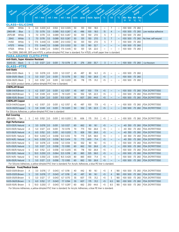| Part Munber                                                      |              |              | Adhesive System | Backing            | Thickness   | Adhesive        | Total Thickness<br>Thickness                                                                                            |       | Adhesion<br>Strength |     | Tensile<br>Strength |                   | Elongation        | Dielectric               | Insulation Class |    | Temperature          | Comments             |
|------------------------------------------------------------------|--------------|--------------|-----------------|--------------------|-------------|-----------------|-------------------------------------------------------------------------------------------------------------------------|-------|----------------------|-----|---------------------|-------------------|-------------------|--------------------------|------------------|----|----------------------|----------------------|
|                                                                  | Golor        |              |                 |                    |             |                 |                                                                                                                         |       |                      |     |                     |                   |                   |                          |                  |    | Range                |                      |
|                                                                  |              |              | $mil$ / mm      |                    |             | <u>mil</u> / mm | $mi$ / mm                                                                                                               | oz/in | g/cm                 |     | Ibs/in kg/cm        | %                 | kV                | $\circ$ <sub>C</sub>     | Min Max Min      |    | <b>Max</b>           |                      |
|                                                                  |              |              |                 |                    |             |                 |                                                                                                                         |       |                      |     |                     |                   |                   |                          | °F               | °F | $^{\circ}$ C<br>°C   |                      |
| <b>GLASS-SILICONE</b>                                            |              |              |                 |                    |             |                 |                                                                                                                         |       |                      |     |                     |                   |                   |                          |                  |    |                      |                      |
| 23816                                                            | White        | S            |                 | 8.0 0.203          | 4.0         | 0.102           | 12.0 0.305                                                                                                              | 50    | 551                  | 100 | 18.0                | $\qquad \qquad -$ | 7                 |                          |                  |    | -100 500 -73 260     |                      |
| 2965-8R                                                          | <b>Blue</b>  | $\mathsf{S}$ |                 | 7.0 0.178          | 3.5         | 0.089           | 10.5 0.267                                                                                                              | 45    | 496                  | 100 | 18.0                | 15                | $\overline{4}$    |                          |                  |    | -100 500 -73 260     | Low residue adhesive |
| 2975-8R                                                          | White        | S            |                 | 7.0 0.178          | 3.5         | 0.089           | 10.5 0.267                                                                                                              | 50    | 551                  | 150 | 27.0                | 5                 | 7                 |                          |                  |    | -100 500 -73 260     |                      |
| 29A5                                                             | White        | S            |                 | 7.0 0.178          | 3.5         | 0.089           | 10.5 0.267                                                                                                              | 50    | 551                  | 150 | 27.0                | 5                 | 7                 |                          |                  |    | -100 500 -73 260     | No liner, self-wound |
| <b>HV60</b>                                                      | White        | S            | 17.5            | 0.440              | 3.5         | 0.089           | 21.0 0.553                                                                                                              | 50    | 551                  | 150 | 27.0                | 5                 | 7                 |                          |                  |    | -100 500 -73 260     |                      |
| H7575                                                            | White        | S            | 17.5            | 0.440              | 3.5         | 0.089           | 21.0 0.553                                                                                                              | 50    | 551                  | 180 | 32.7                | —                 |                   |                          |                  |    | -100 500 -73 260     |                      |
| H7525                                                            | White        | S            |                 | 15.0 0.380 2.5     |             | 0.064           | 17.5 0.445                                                                                                              | 50    | 551                  | 125 | 22.0                |                   |                   |                          |                  |    | -100 500 -73 260     |                      |
|                                                                  |              |              |                 |                    |             |                 | For 23816, 2965-8R, 2975 and H7575, a yellow-dimpled PVC liner is standard. For H7525, a Kraft paper liner is standard. |       |                      |     |                     |                   |                   |                          |                  |    |                      |                      |
| <b>PARA-ARAMID CLOTH-PTFE</b>                                    |              |              |                 |                    |             |                 |                                                                                                                         |       |                      |     |                     |                   |                   |                          |                  |    |                      |                      |
| <b>Anti-Static, Super Abrasion Resistant</b>                     |              |              |                 |                    |             |                 |                                                                                                                         |       |                      |     |                     |                   |                   |                          |                  |    |                      |                      |
| SGK5-05                                                          | <b>Black</b> | S            |                 | 5.0 0.127          | 2.0         | 0.051           | 7.0 0.178                                                                                                               | 25    | 276                  | 200 | 35.7                | 3                 |                   |                          |                  |    | -100 500 -73 260     | <b>Cut-Resistant</b> |
| <b>GLASS-PTFE</b>                                                |              |              |                 |                    |             |                 |                                                                                                                         |       |                      |     |                     |                   |                   |                          |                  |    |                      |                      |
| Anti-Static                                                      |              |              |                 |                    |             |                 |                                                                                                                         |       |                      |     |                     |                   |                   |                          |                  |    |                      |                      |
| SG56-03(R) Black                                                 |              | S            |                 | 3.0 0.076          | $\vert$ 2.0 | 0.051           | 5.0 0.127                                                                                                               | 45    | 497                  | 80  | 14.3                | <5                | —                 |                          |                  |    | -100 500 -73 260     |                      |
| SG56-05(R) Black                                                 |              | S            |                 | 5.0 0.127          | 2.0         | 0.051           | 7.0 0.178                                                                                                               | 50    | 552                  | 150 | 26.8                | $5$               |                   |                          |                  |    | -100 500 -73 260     |                      |
| SG56-06(R) Black                                                 |              | S            |                 | 6.0 0.152          | 2.0         | 0.051           | 8.0 0.203                                                                                                               | 65    | 718                  | 175 | 31.2                | <5                |                   |                          |                  |    | -100 500 -73 260     |                      |
| For SG5X product series, a yellow-dimpled PVC liner is standard. |              |              |                 |                    |             |                 |                                                                                                                         |       |                      |     |                     |                   |                   |                          |                  |    |                      |                      |
| <b>CHEMLAM Brown</b>                                             |              |              |                 |                    |             |                 |                                                                                                                         |       |                      |     |                     |                   |                   |                          |                  |    |                      |                      |
| SGB6-04(R)Brown                                                  |              | S            |                 | 4.2 0.107          | 2.0         | 0.051           | 6.2 0.157                                                                                                               | 45    | 497                  | 100 | 17.9                | <5                | $\qquad \qquad -$ |                          |                  |    | -100 500 -73 260     | FDA 21CFR177.1550    |
| SGB6-06(R)Brown                                                  |              | S            |                 | 5.9 0.149          | 2.0         | 0.051           | 7.9 0.201                                                                                                               | 50    | 552                  | 125 | 22.3                | $<$ 5             | $\qquad \qquad -$ | -                        |                  |    | -100 500 -73 260     | FDA 21CFR177.1550    |
| SGB6-10(R) Brown                                                 |              | S            |                 | 9.5 0.241          | 2.0         | 0.051           | 10.5 0.267                                                                                                              | 55    | 607                  | 250 | 44.6                | < 5               | $\qquad \qquad -$ |                          |                  |    | -100 500 -73 260     | FDA 21CFR177.1550    |
| <b>CHEMLAM Copper</b>                                            |              |              |                 |                    |             |                 |                                                                                                                         |       |                      |     |                     |                   |                   |                          |                  |    |                      |                      |
| SGC6-04(R)Copper                                                 |              | S            |                 | 4.2 0.107          | 2.0         | 0.051           | 6.2 0.157                                                                                                               | 45    | 497                  | 100 | 17.9                | <5                | $\qquad \qquad$   |                          |                  |    | -100 500 -73 260     | FDA 21CFR177.1550    |
| SGC6-06(R)Copper                                                 |              | S            |                 | 5.9 0.149          | $\vert$ 2.0 | 0.051           | 7.9 0.201                                                                                                               | 50    | 552                  | 125 | 22.3                | $<$ 5             |                   |                          |                  |    | $-100$ 500 $-73$ 260 | FDA 21CFR177.1550    |
| For Silicone Adhesives, a yellow-dimpled PVC liner is standard   |              |              |                 |                    |             |                 |                                                                                                                         |       |                      |     |                     |                   |                   |                          |                  |    |                      |                      |
| <b>Roll Covering</b>                                             |              |              |                 |                    |             |                 |                                                                                                                         |       |                      |     |                     |                   |                   |                          |                  |    |                      |                      |
| $280 - 6(R)$                                                     | Tan          | S            |                 | 6.0 0.152          | $\vert$ 2.0 | 0.051           | 8.0 0.203                                                                                                               | 55    | 606                  | 175 | 31.0                | $<$ 5             |                   |                          |                  |    | -100 500 -73 260     | FDA 21CFR177.1550    |
| <b>High Performance</b>                                          |              |              |                 |                    |             |                 |                                                                                                                         |       |                      |     |                     |                   |                   |                          |                  |    |                      |                      |
| SG13-03(R) Natural                                               |              | A            |                 | 3.0 0.076          | 2.0         | 0.051           | 5.0 0.127                                                                                                               | 60    | 662                  | 90  | 16.1                | $5$               | $\qquad \qquad -$ | -                        |                  |    | -40 350 -73 260      | FDA 21CFR177.1550    |
| SG13-05(R) Natural                                               |              | Α            |                 | 5.0 0.127          | 2.0         | 0.051           | 7.0 0.178                                                                                                               | 70    | 773                  | 150 | 26.8                | <5                | —                 |                          |                  |    | -40 350 -73 260      | FDA 21CFR177.1550    |
| SG13-06(R) Natural                                               |              | Α            |                 | 6.0 0.152          | 2.0         | 0.051           | 8.0 0.203                                                                                                               | 75    | 828                  | 150 | 26.8                | $<$ 5             | -                 |                          |                  |    | -40 350 -73 260      | FDA 21CFR177.1550    |
| SG13-10(R) Natural                                               |              | Α            |                 | $10.0 \quad 0.250$ | 2.3         | 0.058           | 12.3 0.312                                                                                                              | 70    | 773                  | 325 | 58.0                | $<$ 5             | $\equiv$          |                          |                  |    | -40 350 -73 260      | FDA 21CFR177.1550    |
| SG13-14(R) Natural                                               |              | Α            |                 | 14.0 $0.350$       | 2.3         | 0.058           | 16.3 0.414                                                                                                              | 70    | 773                  | 400 | 71.4                | <5                | $\qquad \qquad -$ | -                        |                  |    | -40 350 -73 260      | FDA 21CFR177.1550    |
| SG15-03(R) Natural                                               |              | S            |                 | $3.0$ 0.076 2.3    |             | 0.058           | 5.3 0.134                                                                                                               | 50    | 552                  | 90  | 16.1                | $5$               | -                 | $\overline{\phantom{0}}$ |                  |    | -100 500 -73 260     | FDA 21CFR177.1550    |
| SG15-05(R) Natural                                               |              | S            |                 | 5.0 0.127          | 2.3         | 0.058           | 7.3 0.185                                                                                                               | 60    | 662                  | 150 | 26.8                | $<$ 5             | -                 | -                        |                  |    | -100 500 -73 260     | FDA 21CFR177.1550    |
| SG15-06(R) Natural                                               |              | S            |                 | 6.0 0.152          | 2.3         | 0.058           | 8.3 0.205                                                                                                               | 65    | 718                  | 150 | 26.8                | < 5               | $\qquad \qquad -$ |                          |                  |    | -100 500 -73 260     | FDA 21CFR177.1550    |
| SG15-10(R) Natural                                               |              | S            |                 | 10.0 0.250         | 2.5         | 0.064           | 12.5 0.318                                                                                                              | 80    | 883                  | 325 | 58.0                | $<$ 5             | -                 |                          |                  |    | -100 500 -73 260     | FDA 21CFR177.1550    |
| SG15-14(R) Natural                                               |              | S            |                 | 14.0 $0.350$       | 2.5         | 0.064           | 16.5 0.420                                                                                                              | 80    | 883                  | 400 | 71.4                | < 5               | $\qquad \qquad -$ | —                        |                  |    | -100 500 -73 260     | FDA 21CFR177.1550    |
| SG16-05(R) Natural                                               |              | $\mathsf{S}$ |                 | 5.0 0.127          | 2.3         | 0.058           | 7.3 0.185                                                                                                               | 60    | 662                  | 150 | 26.8                | $< 5$             | —                 |                          |                  |    | -100 500 -73 260     | FDA 21CFR177.1550    |
|                                                                  |              |              |                 |                    |             |                 | For Silicone Adhesives, a yellow-dimpled PVC liner is standard; For Acrylic Adhesives, a blue PE liner is standard.     |       |                      |     |                     |                   |                   |                          |                  |    |                      |                      |
| Premium Food/Medical Grade                                       |              |              |                 |                    |             |                 |                                                                                                                         |       |                      |     |                     |                   |                   |                          |                  |    |                      |                      |
| SG03-03(R) Brown                                                 |              | Α            |                 | $3.0$ 0.076        | 1.7         | 0.043           | 4.7 0.118                                                                                                               | 40    | 442                  | 90  | 16.1                | $5$               | 4                 | 180                      |                  |    | -100 500 -73 260     | FDA 21CFR177.1550    |
| SG05-03(R) Brown                                                 |              | S            |                 | 3.0 0.076          | 1.7         | 0.043           | 4.7 0.118                                                                                                               | 45    | 497                  | 90  | 16.1                | $5$               | 4                 | 180                      |                  |    | -100 500 -73 260     | FDA 21CFR177.1550    |
| SG05-05(R) Brown                                                 |              | S            |                 | 5.0 0.127          | 1.7         | 0.043           | 6.7 0.170                                                                                                               | 55    | 607                  | 175 | 31.2                | $<$ 5             | 5                 | 180                      |                  |    | -100 500 -73 260     | FDA 21CFR177.1550    |
| SG05-06(R) Brown                                                 |              | S            |                 | 6.0 0.152          | 1.7         | 0.043           | 7.7 0.194                                                                                                               | 55    | 607                  | 175 | 31.2                | < 5               | 6.5               | 180                      |                  |    | -100 500 -73 260     | FDA 21CFR177.1550    |
| SG05-10(R) Brown                                                 |              | S            |                 | 10.0 0.250         | 1.7         | 0.043           | 11.7 0.297                                                                                                              | 60    | 662                  | 250 | 44.6                | < 5               | 8.5               | 180                      |                  |    | -100 500 -73 260     | FDA 21CFR177.1550    |
|                                                                  |              |              |                 |                    |             |                 | For Silicone Adhesives a vellow-dimpled DVC liner is standard; for Acrylia Adhesives a blue DE liner is standard        |       |                      |     |                     |                   |                   |                          |                  |    |                      |                      |

For Silicone Adhesives, a yellow-dimpled PVC liner is standard; for Acrylic Adhesives, a blue PE liner is standard.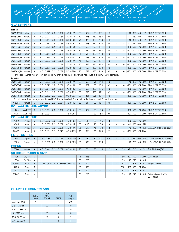### Adhesive Sav<br>
mil / mm

**Adhesive Thickness**

**Total Thickness**

**Backing Thickness**

**mil / mm mil / mm mil / mm oz/in g/cm lbs/in kg/cm Min**

**Tens** Stre **Elongation**

**Diele kV**

**°C**

**Adhesion Strength**

**°F °F °C °C Max Min Max Insul** 

**Temperature Range**

**Comments**

### **GLASS—PTFE**

**Color**

**Part Number**

| Primary              |         |    |     |                   |     |       |            |    |     |     |      |       |                          |   |                            |                   |
|----------------------|---------|----|-----|-------------------|-----|-------|------------|----|-----|-----|------|-------|--------------------------|---|----------------------------|-------------------|
| $SG23-03(R)$         | Natural | A  | 3.0 | 0.076             | 2.0 | 0.051 | 5.0 0.127  | 60 | 662 | 90  | 16.1 | $<$ 5 |                          | — | $-40, 350$<br>$-40$<br>177 | FDA 21CFR177.1550 |
| $SG23-05(R)$ Natural |         | A  | 5.0 | 0.127             | 2.0 | 0.051 | 7.0 0.178  | 70 | 773 | 150 | 26.8 | < 5   | $\overline{\phantom{0}}$ | — | -40 350 -40<br>177         | FDA 21CFR177.1550 |
| $SG23-06(R)$ Natural |         | A  | 6.0 | 0.152             | 2.0 | 0.051 | 8.0 0.188  | 75 | 828 | 150 | 26.8 | < 5   | —                        | — | $-40$ 350 $-40$<br>177     | FDA 21CFR177.1550 |
| SG23-10(R)           | Natural | A  |     | $9.0 \quad 0.250$ | 2.3 | 0.058 | 11.3 0.287 | 70 | 773 | 250 | 44.6 | < 5   |                          | — | -40 350 -40<br>177         | FDA 21CFR177.1550 |
| $SG25-03(R)$ Natural |         | S. | 3.O | 0.076             | 2.3 | 0.058 | 5.3 0.134  | 50 | 552 | 90  | 16.1 | < 5   | -                        | — | $-100$ 500 $-73$ 260       | FDA 21CFR177.1550 |
| $SG25-05(R)$ Natural |         | S. | 5.0 | 0.127             | 2.3 | 0.058 | 7.3 0.185  | 60 | 662 | 150 | 26.8 | < 5   | $\overline{\phantom{0}}$ | — | $-100$ 500 $-73$ 260       | FDA 21CFR177.1550 |
| $SG25-06(R)$ Natural |         | S. | 6.0 | 0.152             | 2.3 | 0.058 | 8.3 0.205  | 65 | 718 | 150 | 26.8 | < 5   | —                        | — | $-100$ 500 $-73$ 260       | FDA 21CFR177.1550 |
| SG25-10(R)           | Natural | S. |     | 9.0 0.229         | 2.5 | 0.064 | 11.5 0.293 | 80 | 883 | 250 | 44.6 | < 5   | $\overline{\phantom{0}}$ | — | -100 500 -73 260           | FDA 21CFR177.1550 |
| $SG26-03(R)$ Natural |         | S. |     | $3.0 \quad 0.076$ | 2.0 | 0.051 | 5.0 0.127  | 45 | 497 | 90  | 16.1 | < 5   | -                        | — | $-100$ 500 $-73$ 260       | FDA 21CFR177.1550 |
| $SG26-05(R)$ Natural |         | S. |     | 5.0 0.127         | 2.0 | 0.051 | 7.0 0.178  | 50 | 552 | 150 | 26.8 | < 5   | $\overline{\phantom{0}}$ | — | $-100$ 500 $-73$ 260       | FDA 21CFR177.1550 |
| $SG26-06(R)$ Natural |         | S. | 6.0 | 0.152             | 2.0 | 0.051 | 8.0 0.188  | 55 | 607 | 150 | 26.8 | < 5   | -                        | — | -73 260<br>500<br>$-100$   | FDA 21CFR177.1550 |
| $SG26-10(R)$         | Natural | S  |     | 9.0 0.229         | 2.0 | 0.051 | 11.0 0.280 | 70 | 773 | 250 | 44.6 | $<$ 5 |                          | — | -100 500 -73 260           | FDA 21CFR177.1550 |

For Silicone Adhesives, a yellow-dimpled PVC liner is standard; For Acrylic Adhesives, a blue PE liner is standard.

| <b>Industrial</b>           |         |                          |     |               |     |       |                                                                                                                     |    |                          |     |      |                          |                          |                          |                          |                                                 |
|-----------------------------|---------|--------------------------|-----|---------------|-----|-------|---------------------------------------------------------------------------------------------------------------------|----|--------------------------|-----|------|--------------------------|--------------------------|--------------------------|--------------------------|-------------------------------------------------|
| $SG33-03(R)$ Natural        |         | A                        | 3.0 | 0.076         | 2.0 | 0.051 | 5.0 0.127                                                                                                           | 60 | 662                      | 75  | 13.4 | $\overline{5}$           | $\qquad \qquad$          | -                        | -40 350 -73 260          | FDA 21CFR177.1550                               |
| $SG35-03(R)$ Natural        |         | S                        | 3.0 | 0.076         | 2.3 | 0.058 | 5.3 0.134                                                                                                           | 50 | 552                      | 75  | 13.4 | < 5                      | $\overline{\phantom{0}}$ | $\overline{\phantom{0}}$ | -100 500 -73 260         | FDA 21CFR177.1550                               |
| $SG35-05(R)$ Natural        |         | S                        | 5.0 | 0.127         | 2.3 | 0.058 | 7.3 0.185                                                                                                           | 60 | 662                      | 160 | 28.6 | < 5                      | —                        | $\qquad \qquad -$        | -100 500 -73 260         | FDA 21CFR177.1550                               |
| SG35-06(R) Natural          |         | S                        | 6.0 | 0.152         | 2.3 | 0.058 | 8.3 0.205                                                                                                           | 65 | 718                      | 275 | 49.1 | < 5                      | $\overline{\phantom{0}}$ | —                        | -100 500 -73 260         | FDA 21CFR177.1550                               |
| SG35-10(R)                  | Natural | S                        | 8.0 | 0.203         | 2.5 | 0.064 | 10.5 0.267                                                                                                          | 80 | 883                      | 275 | 49.1 | < 5                      | —                        |                          | -100 500 -73 260         | FDA 21CFR177.1550                               |
|                             |         |                          |     |               |     |       | For Silicone Adhesives, a yellow-dimpled PVC liner is standard; For Acrylic Adhesives, a blue PE liner is standard. |    |                          |     |      |                          |                          |                          |                          |                                                 |
| A-2005                      | Natural | $\mathcal{S}$            |     | 3.0 0.076 2.5 |     | 0.064 | 5.5 0.140                                                                                                           | 50 | 551                      | 90  | 16.1 | < 5                      |                          |                          | $-100$ 500 $-73$ 260     | FDA 21CFR177.1550                               |
| FOIL-ALUMINUM-PTFE          |         |                          |     |               |     |       |                                                                                                                     |    |                          |     |      |                          |                          |                          |                          |                                                 |
| <b>MD15</b>                 | AI/PTFE | $\mathsf{S}$             | 3.5 | 0.09          | 2.0 | 0.051 | 5.5 0.14                                                                                                            | 60 | 662                      | 20  | 3.6  | < 5                      | —                        | $\qquad \qquad -$        | 500 -73 260<br>$-100$    | FDA 21CFR177.1550                               |
| <b>MDT</b>                  | AI/PTFE | $\overline{\phantom{0}}$ | 3.5 | 0.09          |     |       | 3.5 0.09                                                                                                            | —  | $\overline{\phantom{0}}$ | 20  | 3.6  | < 5                      | —                        | —                        | -100 500 -73 260         | FDA 21CFR177.1550                               |
| <b>FOIL-ALUMINUM</b>        |         |                          |     |               |     |       |                                                                                                                     |    |                          |     |      |                          |                          |                          |                          |                                                 |
| A602                        | Alum.   | S                        | 2.0 | 0.052         | 2.0 | 0.051 | 4.0 0.102                                                                                                           | 60 | 661                      | 20  | 3.6  | 8                        | $\overline{\phantom{0}}$ | $\qquad \qquad -$        | -100 500 -73 260         |                                                 |
| A603                        | Alum.   | А                        | 2.0 | 0.052         | 2.0 | 0.051 | 4.0 0.102                                                                                                           | 55 | 606                      | 20  | 3.6  | 8                        | $\overline{\phantom{0}}$ |                          | $-40$ 250 $-40$<br>121   |                                                 |
| A662                        | Alum.   | A                        | 3.0 | 0.076         | 2.0 | 0.051 | 5.0 0.127                                                                                                           | 65 | 717                      | 45  | 8.0  | 18                       | —                        |                          | $-40$ 250 $-40$<br>121   | UL Guide OANZ2, File E51201, UL510              |
| 26020                       | Alum.   | S                        | 5.0 | 0.127         | 3.0 | 0.076 | 8.0 0.203                                                                                                           | 95 | 991                      | 80  | 14.5 | 10                       | $\overline{\phantom{0}}$ |                          | -100 500 -73 260         |                                                 |
| <b>FOIL-COPPER</b>          |         |                          |     |               |     |       |                                                                                                                     |    |                          |     |      |                          |                          |                          |                          |                                                 |
| C661                        | Copper  | $\overline{A}$           | 1.5 | 0.038         | 2.0 | 0.051 | 3.5 0.089                                                                                                           | 80 | 882                      | 70  | 12.7 | <16                      | —                        | $\qquad \qquad -$        | $-40$ 250 $-40$<br>121   | UL Guide OANZ2, File E51201, UL510              |
| C665                        | Copper  | A                        | 1.5 | 0.038         | 2.0 | 0.051 | 3.5 0.089                                                                                                           | 35 | 386                      | 90  | 16.0 | $\overline{\phantom{0}}$ | $\overline{\phantom{0}}$ | $\overline{\phantom{0}}$ | $-40$ 250 $-40$<br>121   | UL Guide OANZ2, File E51201, UL510              |
| <b>PAPER</b>                |         |                          |     |               |     |       |                                                                                                                     |    |                          |     |      |                          |                          |                          |                          |                                                 |
| C680                        | Natural | <sub>S</sub>             | 4.0 | 0.102         | 2.0 | 0.051 | 6.0 0.152                                                                                                           | 30 | 331                      | 25  | 4.5  | 5                        | $\overline{\phantom{0}}$ | 155                      | $-20$ 310 $-29$<br>154   | Static Dissipative (ESD)                        |
| <b>SILICONE RUBBER SNS®</b> |         |                          |     |               |     |       |                                                                                                                     |    |                          |     |      |                          |                          |                          |                          |                                                 |
| <b>100S</b>                 | Or./Tan | S                        |     |               |     |       |                                                                                                                     | 15 | 165                      |     |      |                          | —                        | 180                      | -100 500 -73 260         | UL File MH12835                                 |
| 200A                        | Or./Tan | А                        |     |               |     |       |                                                                                                                     | 30 | 331                      |     |      | —                        | —                        | 155                      | $-20$ 325 $-29$<br>163   |                                                 |
| 300AR                       | Blue    | A                        |     |               |     |       | SEE "CHART 1 THICKNESS" BELOW                                                                                       | 30 | 331                      |     |      | -                        | $\qquad \qquad -$        | 155                      | $-20$ 325 $-29$<br>163   | Fiberglass Reinforced                           |
| 440S                        | Gray    | S                        |     |               |     |       |                                                                                                                     | 15 | 165                      |     |      | —                        | $\overline{\phantom{0}}$ | 180                      | -100 500 -73 260         |                                                 |
| 440A                        | Grav    | A                        |     |               |     |       |                                                                                                                     | 30 | 331                      |     |      | $\qquad \qquad -$        | -                        | 155                      | $-20$ 325 $-29$<br>163   |                                                 |
| 512AF                       | Gray    | Α                        |     |               |     |       |                                                                                                                     | 30 | 331                      |     |      | -                        | -                        | 155                      | 325 - 29<br>$-20$<br>163 | Backing conforms to UL 94 VO<br>UL File MH12835 |

### **CHART 1 THICKNESS SNS**

|                   | 440A<br>440S | 100S<br>200A<br>300AR | 512AF | Roll<br>Length |
|-------------------|--------------|-----------------------|-------|----------------|
| $1/32$ " (0.79mm) | Χ            |                       |       | 20             |
| $1/16$ " (1.59mm) |              | X                     | X     | 10             |
| 3/32" (2.38mm)    |              | X                     | X     | 10             |
| $1/8$ " (3.18mm)  |              | X                     | X     | 10             |
| 3/16" (4.76mm)    |              | X                     | X     | 5              |
| $1/4$ " (6.35mm)  |              |                       | Χ     | 5              |